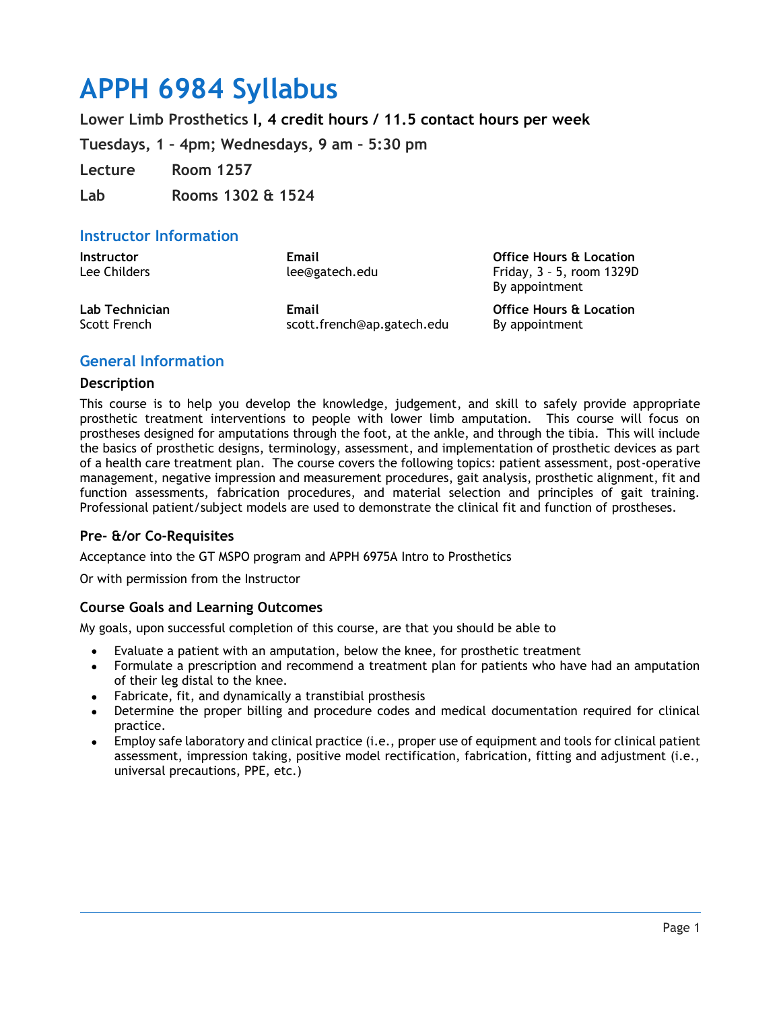# **APPH 6984 Syllabus**

**Lower Limb Prosthetics I, 4 credit hours / 11.5 contact hours per week**

**Tuesdays, 1 – 4pm; Wednesdays, 9 am – 5:30 pm**

**Lecture Room 1257**

**Lab Rooms 1302 & 1524**

## **Instructor Information**

| <b>Instructor</b><br>Lee Childers | Email<br>lee@gatech.edu    | <b>Office Hours &amp; Location</b><br>Friday, 3 - 5, room 1329D<br>By appointment |
|-----------------------------------|----------------------------|-----------------------------------------------------------------------------------|
| Lab Technician                    | Email                      | <b>Office Hours &amp; Location</b>                                                |
| Scott French                      | scott.french@ap.gatech.edu | By appointment                                                                    |

## **General Information**

## **Description**

This course is to help you develop the knowledge, judgement, and skill to safely provide appropriate prosthetic treatment interventions to people with lower limb amputation. This course will focus on prostheses designed for amputations through the foot, at the ankle, and through the tibia. This will include the basics of prosthetic designs, terminology, assessment, and implementation of prosthetic devices as part of a health care treatment plan. The course covers the following topics: patient assessment, post-operative management, negative impression and measurement procedures, gait analysis, prosthetic alignment, fit and function assessments, fabrication procedures, and material selection and principles of gait training. Professional patient/subject models are used to demonstrate the clinical fit and function of prostheses.

## **Pre- &/or Co-Requisites**

Acceptance into the GT MSPO program and APPH 6975A Intro to Prosthetics

Or with permission from the Instructor

## **Course Goals and Learning Outcomes**

My goals, upon successful completion of this course, are that you should be able to

- Evaluate a patient with an amputation, below the knee, for prosthetic treatment
- Formulate a prescription and recommend a treatment plan for patients who have had an amputation of their leg distal to the knee.
- Fabricate, fit, and dynamically a transtibial prosthesis
- Determine the proper billing and procedure codes and medical documentation required for clinical practice.
- Employ safe laboratory and clinical practice (i.e., proper use of equipment and tools for clinical patient assessment, impression taking, positive model rectification, fabrication, fitting and adjustment (i.e., universal precautions, PPE, etc.)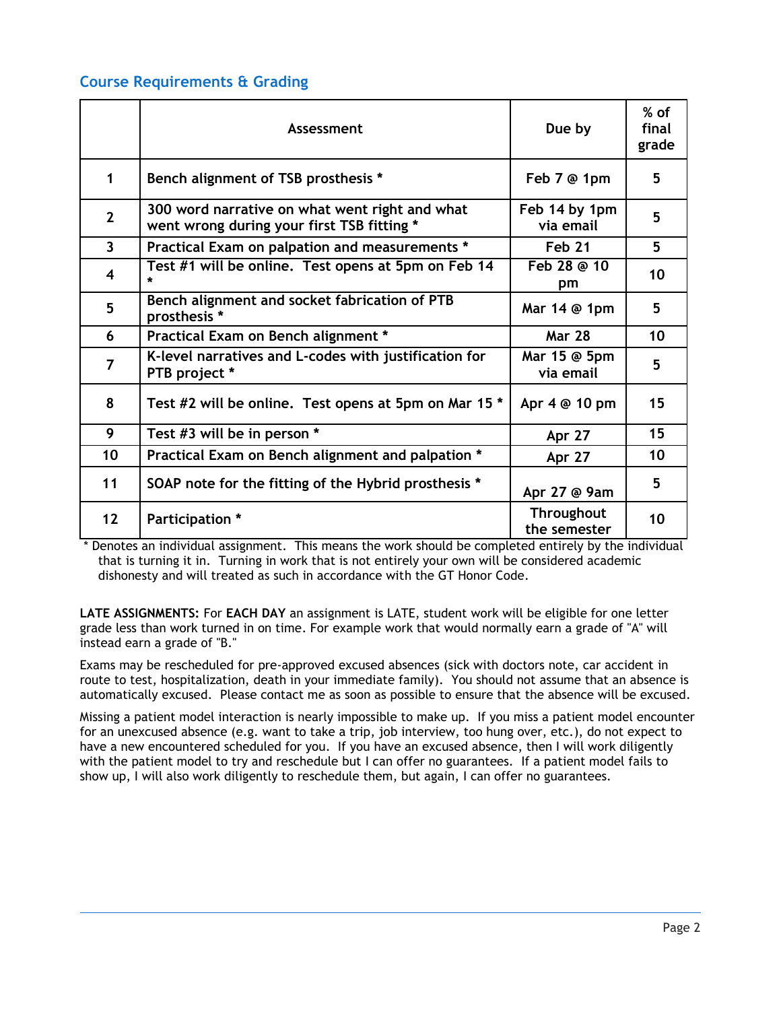## **Course Requirements & Grading**

|                | Assessment                                                                                   | Due by                            | $%$ of<br>final<br>grade |
|----------------|----------------------------------------------------------------------------------------------|-----------------------------------|--------------------------|
| 1              | Bench alignment of TSB prosthesis *                                                          | Feb 7 @ 1pm                       | 5                        |
| $\overline{2}$ | 300 word narrative on what went right and what<br>went wrong during your first TSB fitting * | Feb 14 by 1pm<br>via email        | 5                        |
| $\overline{3}$ | Practical Exam on palpation and measurements *                                               | <b>Feb 21</b>                     | 5                        |
| 4              | Test #1 will be online. Test opens at 5pm on Feb 14                                          | Feb 28 @ 10<br>pm                 | 10                       |
| 5              | Bench alignment and socket fabrication of PTB<br>prosthesis *                                | Mar 14 @ 1pm                      | 5                        |
| 6              | Practical Exam on Bench alignment *                                                          | <b>Mar 28</b>                     | 10                       |
| $\overline{7}$ | K-level narratives and L-codes with justification for<br>PTB project *                       | Mar 15 @ 5pm<br>via email         | 5                        |
| 8              | Test #2 will be online. Test opens at 5pm on Mar 15 *                                        | Apr 4 @ 10 pm                     | 15                       |
| 9              | Test #3 will be in person *                                                                  | Apr 27                            | 15                       |
| 10             | Practical Exam on Bench alignment and palpation *                                            | Apr 27                            | 10                       |
| 11             | SOAP note for the fitting of the Hybrid prosthesis *                                         | Apr 27 @ 9am                      | 5                        |
| 12             | Participation *                                                                              | <b>Throughout</b><br>the semester | 10                       |

\* Denotes an individual assignment. This means the work should be completed entirely by the individual that is turning it in. Turning in work that is not entirely your own will be considered academic dishonesty and will treated as such in accordance with the GT Honor Code.

**LATE ASSIGNMENTS:** For **EACH DAY** an assignment is LATE, student work will be eligible for one letter grade less than work turned in on time. For example work that would normally earn a grade of "A" will instead earn a grade of "B."

Exams may be rescheduled for pre-approved excused absences (sick with doctors note, car accident in route to test, hospitalization, death in your immediate family). You should not assume that an absence is automatically excused. Please contact me as soon as possible to ensure that the absence will be excused.

Missing a patient model interaction is nearly impossible to make up. If you miss a patient model encounter for an unexcused absence (e.g. want to take a trip, job interview, too hung over, etc.), do not expect to have a new encountered scheduled for you. If you have an excused absence, then I will work diligently with the patient model to try and reschedule but I can offer no guarantees. If a patient model fails to show up, I will also work diligently to reschedule them, but again, I can offer no guarantees.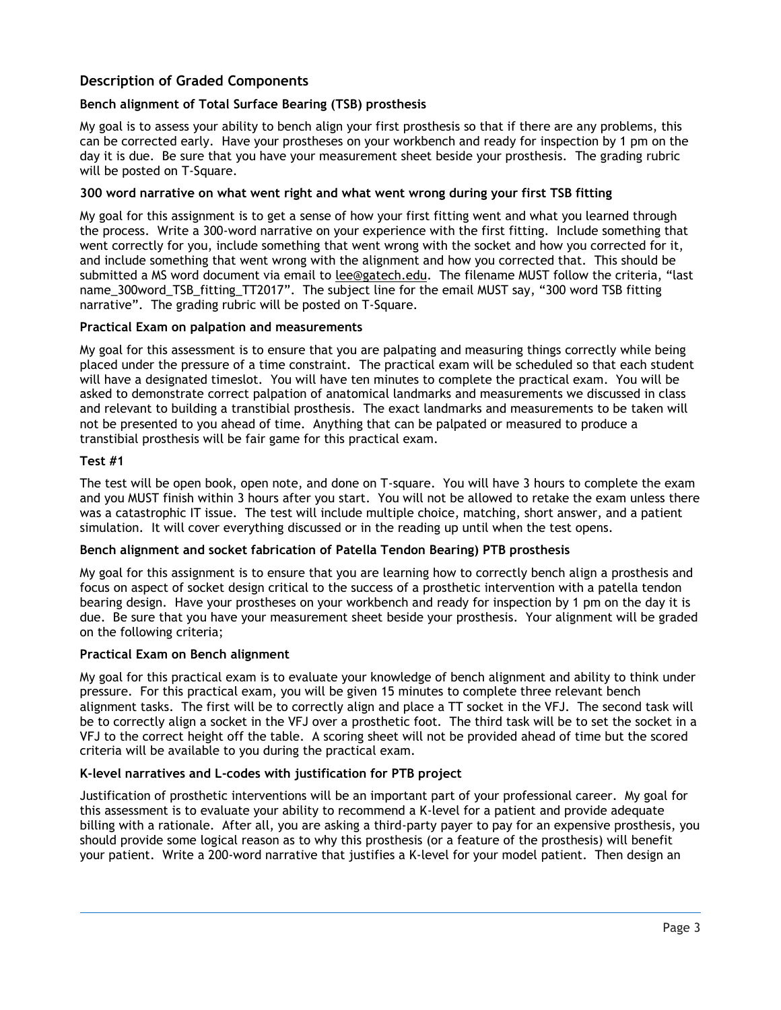## **Description of Graded Components**

## **Bench alignment of Total Surface Bearing (TSB) prosthesis**

My goal is to assess your ability to bench align your first prosthesis so that if there are any problems, this can be corrected early. Have your prostheses on your workbench and ready for inspection by 1 pm on the day it is due. Be sure that you have your measurement sheet beside your prosthesis. The grading rubric will be posted on T-Square.

## **300 word narrative on what went right and what went wrong during your first TSB fitting**

My goal for this assignment is to get a sense of how your first fitting went and what you learned through the process. Write a 300-word narrative on your experience with the first fitting. Include something that went correctly for you, include something that went wrong with the socket and how you corrected for it, and include something that went wrong with the alignment and how you corrected that. This should be submitted a MS word document via email to [lee@gatech.edu](mailto:lee@gatech.edu). The filename MUST follow the criteria, "last name\_300word\_TSB\_fitting\_TT2017". The subject line for the email MUST say, "300 word TSB fitting narrative". The grading rubric will be posted on T-Square.

## **Practical Exam on palpation and measurements**

My goal for this assessment is to ensure that you are palpating and measuring things correctly while being placed under the pressure of a time constraint. The practical exam will be scheduled so that each student will have a designated timeslot. You will have ten minutes to complete the practical exam. You will be asked to demonstrate correct palpation of anatomical landmarks and measurements we discussed in class and relevant to building a transtibial prosthesis. The exact landmarks and measurements to be taken will not be presented to you ahead of time. Anything that can be palpated or measured to produce a transtibial prosthesis will be fair game for this practical exam.

#### **Test #1**

The test will be open book, open note, and done on T-square. You will have 3 hours to complete the exam and you MUST finish within 3 hours after you start. You will not be allowed to retake the exam unless there was a catastrophic IT issue. The test will include multiple choice, matching, short answer, and a patient simulation. It will cover everything discussed or in the reading up until when the test opens.

#### **Bench alignment and socket fabrication of Patella Tendon Bearing) PTB prosthesis**

My goal for this assignment is to ensure that you are learning how to correctly bench align a prosthesis and focus on aspect of socket design critical to the success of a prosthetic intervention with a patella tendon bearing design. Have your prostheses on your workbench and ready for inspection by 1 pm on the day it is due. Be sure that you have your measurement sheet beside your prosthesis. Your alignment will be graded on the following criteria;

#### **Practical Exam on Bench alignment**

My goal for this practical exam is to evaluate your knowledge of bench alignment and ability to think under pressure. For this practical exam, you will be given 15 minutes to complete three relevant bench alignment tasks. The first will be to correctly align and place a TT socket in the VFJ. The second task will be to correctly align a socket in the VFJ over a prosthetic foot. The third task will be to set the socket in a VFJ to the correct height off the table. A scoring sheet will not be provided ahead of time but the scored criteria will be available to you during the practical exam.

#### **K-level narratives and L-codes with justification for PTB project**

Justification of prosthetic interventions will be an important part of your professional career. My goal for this assessment is to evaluate your ability to recommend a K-level for a patient and provide adequate billing with a rationale. After all, you are asking a third-party payer to pay for an expensive prosthesis, you should provide some logical reason as to why this prosthesis (or a feature of the prosthesis) will benefit your patient. Write a 200-word narrative that justifies a K-level for your model patient. Then design an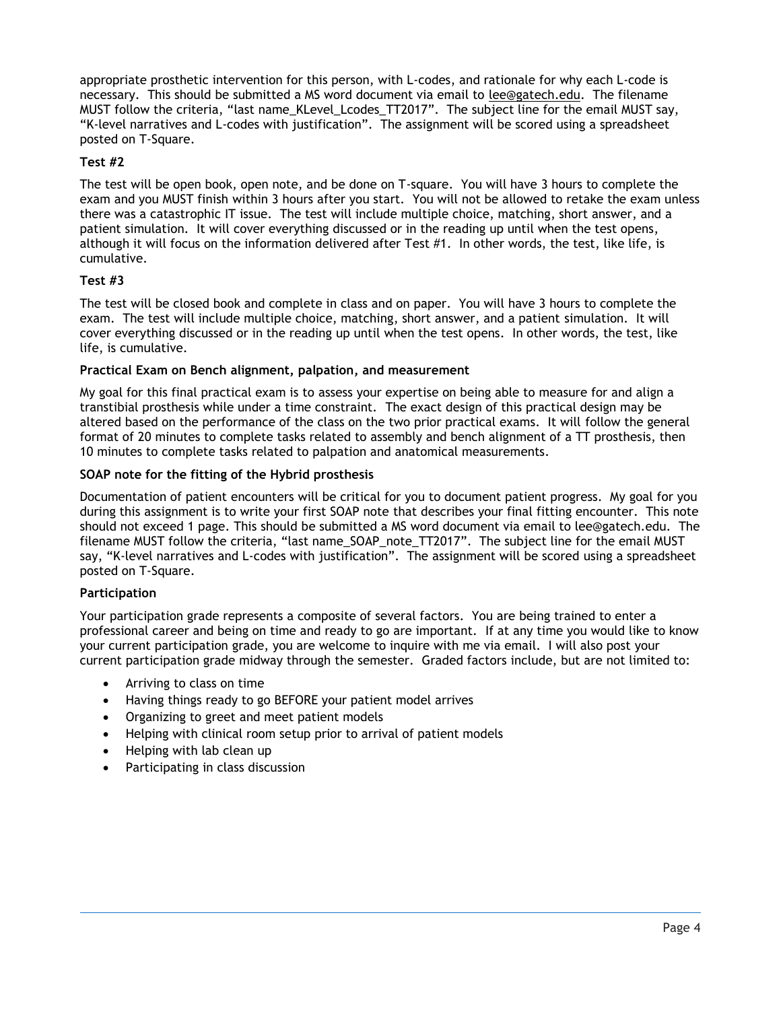appropriate prosthetic intervention for this person, with L-codes, and rationale for why each L-code is necessary. This should be submitted a MS word document via email to [lee@gatech.edu.](mailto:lee@gatech.edu) The filename MUST follow the criteria, "last name\_KLevel\_Lcodes\_TT2017". The subject line for the email MUST say, "K-level narratives and L-codes with justification". The assignment will be scored using a spreadsheet posted on T-Square.

## **Test #2**

The test will be open book, open note, and be done on T-square. You will have 3 hours to complete the exam and you MUST finish within 3 hours after you start. You will not be allowed to retake the exam unless there was a catastrophic IT issue. The test will include multiple choice, matching, short answer, and a patient simulation. It will cover everything discussed or in the reading up until when the test opens, although it will focus on the information delivered after Test #1. In other words, the test, like life, is cumulative.

## **Test #3**

The test will be closed book and complete in class and on paper. You will have 3 hours to complete the exam. The test will include multiple choice, matching, short answer, and a patient simulation. It will cover everything discussed or in the reading up until when the test opens. In other words, the test, like life, is cumulative.

## **Practical Exam on Bench alignment, palpation, and measurement**

My goal for this final practical exam is to assess your expertise on being able to measure for and align a transtibial prosthesis while under a time constraint. The exact design of this practical design may be altered based on the performance of the class on the two prior practical exams. It will follow the general format of 20 minutes to complete tasks related to assembly and bench alignment of a TT prosthesis, then 10 minutes to complete tasks related to palpation and anatomical measurements.

## **SOAP note for the fitting of the Hybrid prosthesis**

Documentation of patient encounters will be critical for you to document patient progress. My goal for you during this assignment is to write your first SOAP note that describes your final fitting encounter. This note should not exceed 1 page. This should be submitted a MS word document via email to lee@gatech.edu. The filename MUST follow the criteria, "last name\_SOAP\_note\_TT2017". The subject line for the email MUST say, "K-level narratives and L-codes with justification". The assignment will be scored using a spreadsheet posted on T-Square.

## **Participation**

Your participation grade represents a composite of several factors. You are being trained to enter a professional career and being on time and ready to go are important. If at any time you would like to know your current participation grade, you are welcome to inquire with me via email. I will also post your current participation grade midway through the semester. Graded factors include, but are not limited to:

- Arriving to class on time
- Having things ready to go BEFORE your patient model arrives
- Organizing to greet and meet patient models
- Helping with clinical room setup prior to arrival of patient models
- Helping with lab clean up
- Participating in class discussion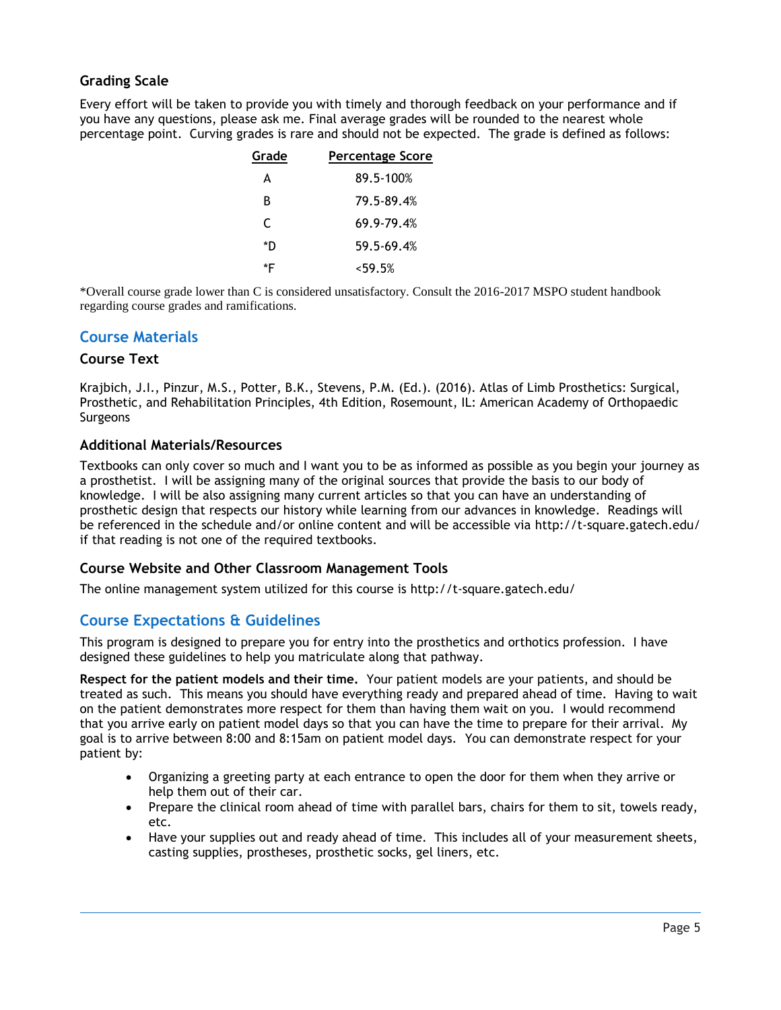## **Grading Scale**

Every effort will be taken to provide you with timely and thorough feedback on your performance and if you have any questions, please ask me. Final average grades will be rounded to the nearest whole percentage point. Curving grades is rare and should not be expected. The grade is defined as follows:

| Grade | <b>Percentage Score</b> |
|-------|-------------------------|
| А     | 89.5-100%               |
| в     | 79.5-89.4%              |
| C     | 69.9-79.4%              |
| *D    | 59.5-69.4%              |
| *F    | $<$ 59.5%               |

\*Overall course grade lower than C is considered unsatisfactory. Consult the 2016-2017 MSPO student handbook regarding course grades and ramifications.

## **Course Materials**

## **Course Text**

Krajbich, J.I., Pinzur, M.S., Potter, B.K., Stevens, P.M. (Ed.). (2016). Atlas of Limb Prosthetics: Surgical, Prosthetic, and Rehabilitation Principles, 4th Edition, Rosemount, IL: American Academy of Orthopaedic **Surgeons** 

## **Additional Materials/Resources**

Textbooks can only cover so much and I want you to be as informed as possible as you begin your journey as a prosthetist. I will be assigning many of the original sources that provide the basis to our body of knowledge. I will be also assigning many current articles so that you can have an understanding of prosthetic design that respects our history while learning from our advances in knowledge. Readings will be referenced in the schedule and/or online content and will be accessible via http://t-square.gatech.edu/ if that reading is not one of the required textbooks.

## **Course Website and Other Classroom Management Tools**

The online management system utilized for this course is http://t-square.gatech.edu/

## **Course Expectations & Guidelines**

This program is designed to prepare you for entry into the prosthetics and orthotics profession. I have designed these guidelines to help you matriculate along that pathway.

**Respect for the patient models and their time.** Your patient models are your patients, and should be treated as such. This means you should have everything ready and prepared ahead of time. Having to wait on the patient demonstrates more respect for them than having them wait on you. I would recommend that you arrive early on patient model days so that you can have the time to prepare for their arrival. My goal is to arrive between 8:00 and 8:15am on patient model days. You can demonstrate respect for your patient by:

- Organizing a greeting party at each entrance to open the door for them when they arrive or help them out of their car.
- Prepare the clinical room ahead of time with parallel bars, chairs for them to sit, towels ready, etc.
- Have your supplies out and ready ahead of time. This includes all of your measurement sheets, casting supplies, prostheses, prosthetic socks, gel liners, etc.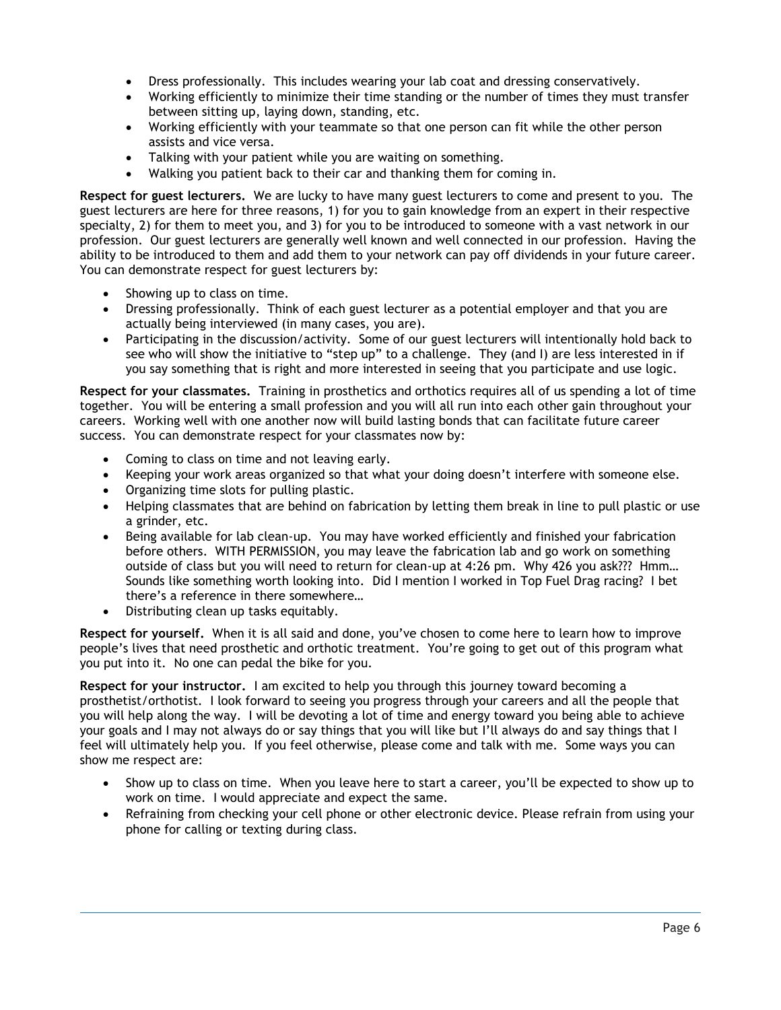- Dress professionally. This includes wearing your lab coat and dressing conservatively.
- Working efficiently to minimize their time standing or the number of times they must transfer between sitting up, laying down, standing, etc.
- Working efficiently with your teammate so that one person can fit while the other person assists and vice versa.
- Talking with your patient while you are waiting on something.
- Walking you patient back to their car and thanking them for coming in.

**Respect for guest lecturers.** We are lucky to have many guest lecturers to come and present to you. The guest lecturers are here for three reasons, 1) for you to gain knowledge from an expert in their respective specialty, 2) for them to meet you, and 3) for you to be introduced to someone with a vast network in our profession. Our guest lecturers are generally well known and well connected in our profession. Having the ability to be introduced to them and add them to your network can pay off dividends in your future career. You can demonstrate respect for guest lecturers by:

- Showing up to class on time.
- Dressing professionally. Think of each guest lecturer as a potential employer and that you are actually being interviewed (in many cases, you are).
- Participating in the discussion/activity. Some of our guest lecturers will intentionally hold back to see who will show the initiative to "step up" to a challenge. They (and I) are less interested in if you say something that is right and more interested in seeing that you participate and use logic.

**Respect for your classmates.** Training in prosthetics and orthotics requires all of us spending a lot of time together. You will be entering a small profession and you will all run into each other gain throughout your careers. Working well with one another now will build lasting bonds that can facilitate future career success. You can demonstrate respect for your classmates now by:

- Coming to class on time and not leaving early.
- Keeping your work areas organized so that what your doing doesn't interfere with someone else.
- Organizing time slots for pulling plastic.
- Helping classmates that are behind on fabrication by letting them break in line to pull plastic or use a grinder, etc.
- Being available for lab clean-up. You may have worked efficiently and finished your fabrication before others. WITH PERMISSION, you may leave the fabrication lab and go work on something outside of class but you will need to return for clean-up at 4:26 pm. Why 426 you ask??? Hmm… Sounds like something worth looking into. Did I mention I worked in Top Fuel Drag racing? I bet there's a reference in there somewhere…
- Distributing clean up tasks equitably.

**Respect for yourself.** When it is all said and done, you've chosen to come here to learn how to improve people's lives that need prosthetic and orthotic treatment. You're going to get out of this program what you put into it. No one can pedal the bike for you.

**Respect for your instructor.** I am excited to help you through this journey toward becoming a prosthetist/orthotist. I look forward to seeing you progress through your careers and all the people that you will help along the way. I will be devoting a lot of time and energy toward you being able to achieve your goals and I may not always do or say things that you will like but I'll always do and say things that I feel will ultimately help you. If you feel otherwise, please come and talk with me. Some ways you can show me respect are:

- Show up to class on time. When you leave here to start a career, you'll be expected to show up to work on time. I would appreciate and expect the same.
- Refraining from checking your cell phone or other electronic device. Please refrain from using your phone for calling or texting during class.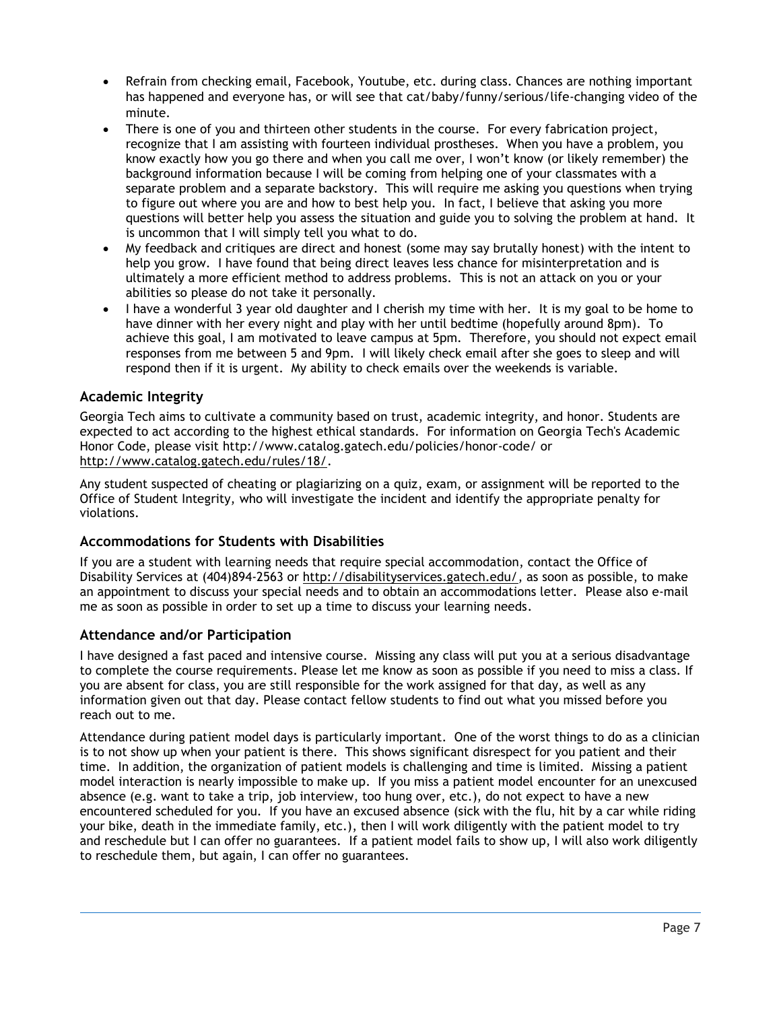- Refrain from checking email, Facebook, Youtube, etc. during class. Chances are nothing important has happened and everyone has, or will see that cat/baby/funny/serious/life-changing video of the minute.
- There is one of you and thirteen other students in the course. For every fabrication project, recognize that I am assisting with fourteen individual prostheses. When you have a problem, you know exactly how you go there and when you call me over, I won't know (or likely remember) the background information because I will be coming from helping one of your classmates with a separate problem and a separate backstory. This will require me asking you questions when trying to figure out where you are and how to best help you. In fact, I believe that asking you more questions will better help you assess the situation and guide you to solving the problem at hand. It is uncommon that I will simply tell you what to do.
- My feedback and critiques are direct and honest (some may say brutally honest) with the intent to help you grow. I have found that being direct leaves less chance for misinterpretation and is ultimately a more efficient method to address problems. This is not an attack on you or your abilities so please do not take it personally.
- I have a wonderful 3 year old daughter and I cherish my time with her. It is my goal to be home to have dinner with her every night and play with her until bedtime (hopefully around 8pm). To achieve this goal, I am motivated to leave campus at 5pm. Therefore, you should not expect email responses from me between 5 and 9pm. I will likely check email after she goes to sleep and will respond then if it is urgent. My ability to check emails over the weekends is variable.

## **Academic Integrity**

Georgia Tech aims to cultivate a community based on trust, academic integrity, and honor. Students are expected to act according to the highest ethical standards. For information on Georgia Tech's Academic Honor Code, please visit http://www.catalog.gatech.edu/policies/honor-code/ or [http://www.catalog.gatech.edu/rules/18/.](http://www.catalog.gatech.edu/rules/18/)

Any student suspected of cheating or plagiarizing on a quiz, exam, or assignment will be reported to the Office of Student Integrity, who will investigate the incident and identify the appropriate penalty for violations.

## **Accommodations for Students with Disabilities**

If you are a student with learning needs that require special accommodation, contact the Office of Disability Services at (404)894-2563 or [http://disabilityservices.gatech.edu/,](http://disabilityservices.gatech.edu/) as soon as possible, to make an appointment to discuss your special needs and to obtain an accommodations letter. Please also e-mail me as soon as possible in order to set up a time to discuss your learning needs.

## **Attendance and/or Participation**

I have designed a fast paced and intensive course. Missing any class will put you at a serious disadvantage to complete the course requirements. Please let me know as soon as possible if you need to miss a class. If you are absent for class, you are still responsible for the work assigned for that day, as well as any information given out that day. Please contact fellow students to find out what you missed before you reach out to me.

Attendance during patient model days is particularly important. One of the worst things to do as a clinician is to not show up when your patient is there. This shows significant disrespect for you patient and their time. In addition, the organization of patient models is challenging and time is limited. Missing a patient model interaction is nearly impossible to make up. If you miss a patient model encounter for an unexcused absence (e.g. want to take a trip, job interview, too hung over, etc.), do not expect to have a new encountered scheduled for you. If you have an excused absence (sick with the flu, hit by a car while riding your bike, death in the immediate family, etc.), then I will work diligently with the patient model to try and reschedule but I can offer no guarantees. If a patient model fails to show up, I will also work diligently to reschedule them, but again, I can offer no guarantees.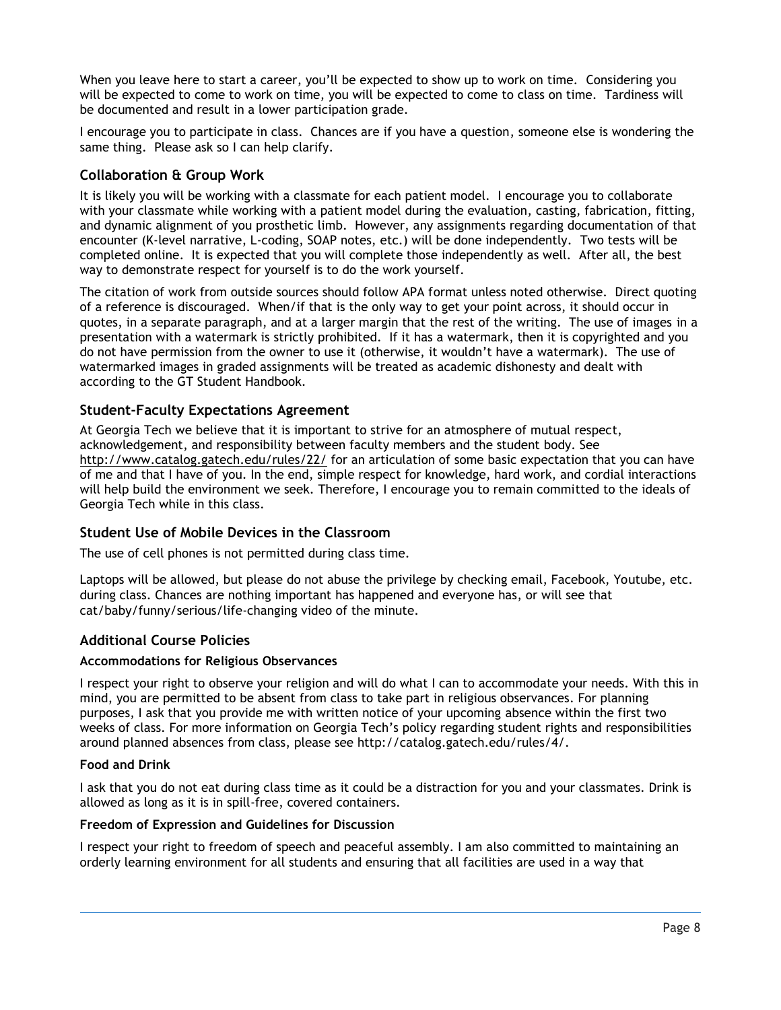When you leave here to start a career, you'll be expected to show up to work on time. Considering you will be expected to come to work on time, you will be expected to come to class on time. Tardiness will be documented and result in a lower participation grade.

I encourage you to participate in class. Chances are if you have a question, someone else is wondering the same thing. Please ask so I can help clarify.

## **Collaboration & Group Work**

It is likely you will be working with a classmate for each patient model. I encourage you to collaborate with your classmate while working with a patient model during the evaluation, casting, fabrication, fitting, and dynamic alignment of you prosthetic limb. However, any assignments regarding documentation of that encounter (K-level narrative, L-coding, SOAP notes, etc.) will be done independently. Two tests will be completed online. It is expected that you will complete those independently as well. After all, the best way to demonstrate respect for yourself is to do the work yourself.

The citation of work from outside sources should follow APA format unless noted otherwise. Direct quoting of a reference is discouraged. When/if that is the only way to get your point across, it should occur in quotes, in a separate paragraph, and at a larger margin that the rest of the writing. The use of images in a presentation with a watermark is strictly prohibited. If it has a watermark, then it is copyrighted and you do not have permission from the owner to use it (otherwise, it wouldn't have a watermark). The use of watermarked images in graded assignments will be treated as academic dishonesty and dealt with according to the GT Student Handbook.

## **Student-Faculty Expectations Agreement**

At Georgia Tech we believe that it is important to strive for an atmosphere of mutual respect, acknowledgement, and responsibility between faculty members and the student body. See <http://www.catalog.gatech.edu/rules/22/> for an articulation of some basic expectation that you can have of me and that I have of you. In the end, simple respect for knowledge, hard work, and cordial interactions will help build the environment we seek. Therefore, I encourage you to remain committed to the ideals of Georgia Tech while in this class.

#### **Student Use of Mobile Devices in the Classroom**

The use of cell phones is not permitted during class time.

Laptops will be allowed, but please do not abuse the privilege by checking email, Facebook, Youtube, etc. during class. Chances are nothing important has happened and everyone has, or will see that cat/baby/funny/serious/life-changing video of the minute.

## **Additional Course Policies**

#### **Accommodations for Religious Observances**

I respect your right to observe your religion and will do what I can to accommodate your needs. With this in mind, you are permitted to be absent from class to take part in religious observances. For planning purposes, I ask that you provide me with written notice of your upcoming absence within the first two weeks of class. For more information on Georgia Tech's policy regarding student rights and responsibilities around planned absences from class, please see http://catalog.gatech.edu/rules/4/.

#### **Food and Drink**

I ask that you do not eat during class time as it could be a distraction for you and your classmates. Drink is allowed as long as it is in spill-free, covered containers.

#### **Freedom of Expression and Guidelines for Discussion**

I respect your right to freedom of speech and peaceful assembly. I am also committed to maintaining an orderly learning environment for all students and ensuring that all facilities are used in a way that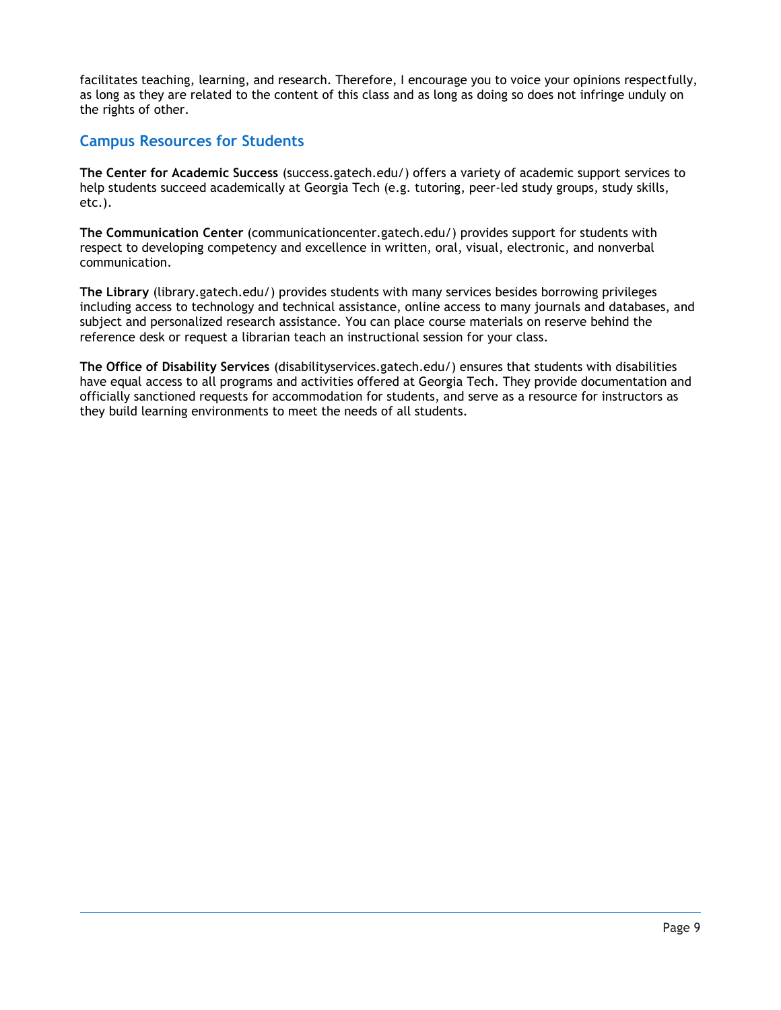facilitates teaching, learning, and research. Therefore, I encourage you to voice your opinions respectfully, as long as they are related to the content of this class and as long as doing so does not infringe unduly on the rights of other.

## **Campus Resources for Students**

**The Center for Academic Success** (success.gatech.edu/) offers a variety of academic support services to help students succeed academically at Georgia Tech (e.g. tutoring, peer-led study groups, study skills, etc.).

**The Communication Center** (communicationcenter.gatech.edu/) provides support for students with respect to developing competency and excellence in written, oral, visual, electronic, and nonverbal communication.

**The Library** (library.gatech.edu/) provides students with many services besides borrowing privileges including access to technology and technical assistance, online access to many journals and databases, and subject and personalized research assistance. You can place course materials on reserve behind the reference desk or request a librarian teach an instructional session for your class.

**The Office of Disability Services** (disabilityservices.gatech.edu/) ensures that students with disabilities have equal access to all programs and activities offered at Georgia Tech. They provide documentation and officially sanctioned requests for accommodation for students, and serve as a resource for instructors as they build learning environments to meet the needs of all students.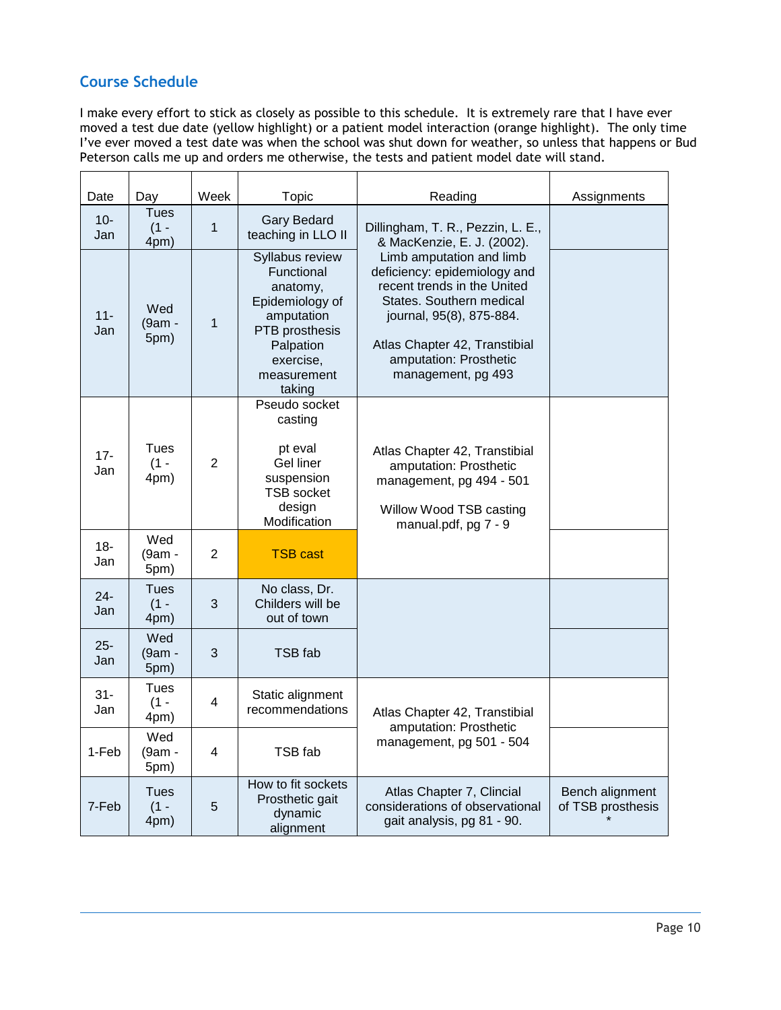## **Course Schedule**

I make every effort to stick as closely as possible to this schedule. It is extremely rare that I have ever moved a test due date (yellow highlight) or a patient model interaction (orange highlight). The only time I've ever moved a test date was when the school was shut down for weather, so unless that happens or Bud Peterson calls me up and orders me otherwise, the tests and patient model date will stand.

| Date          | Day                    | Week           | Topic                                                                                                                                           | Reading                                                                                                                                                                                                                          | Assignments                          |
|---------------|------------------------|----------------|-------------------------------------------------------------------------------------------------------------------------------------------------|----------------------------------------------------------------------------------------------------------------------------------------------------------------------------------------------------------------------------------|--------------------------------------|
| $10 -$<br>Jan | Tues<br>$(1 -$<br>4pm) | $\mathbf{1}$   | <b>Gary Bedard</b><br>teaching in LLO II                                                                                                        | Dillingham, T. R., Pezzin, L. E.,<br>& MacKenzie, E. J. (2002).                                                                                                                                                                  |                                      |
| $11 -$<br>Jan | Wed<br>(9am -<br>5pm)  | $\overline{1}$ | Syllabus review<br>Functional<br>anatomy,<br>Epidemiology of<br>amputation<br>PTB prosthesis<br>Palpation<br>exercise,<br>measurement<br>taking | Limb amputation and limb<br>deficiency: epidemiology and<br>recent trends in the United<br>States. Southern medical<br>journal, 95(8), 875-884.<br>Atlas Chapter 42, Transtibial<br>amputation: Prosthetic<br>management, pg 493 |                                      |
| $17 -$<br>Jan | Tues<br>$(1 -$<br>4pm) | $\overline{2}$ | Pseudo socket<br>casting<br>pt eval<br>Gel liner<br>suspension<br><b>TSB socket</b><br>design<br>Modification                                   | Atlas Chapter 42, Transtibial<br>amputation: Prosthetic<br>management, pg 494 - 501<br>Willow Wood TSB casting<br>manual.pdf, pg 7 - 9                                                                                           |                                      |
| $18 -$<br>Jan | Wed<br>(9am -<br>5pm)  | $\overline{2}$ | <b>TSB cast</b>                                                                                                                                 |                                                                                                                                                                                                                                  |                                      |
| $24 -$<br>Jan | Tues<br>$(1 -$<br>4pm) | 3              | No class, Dr.<br>Childers will be<br>out of town                                                                                                |                                                                                                                                                                                                                                  |                                      |
| $25 -$<br>Jan | Wed<br>(9am -<br>5pm)  | 3              | TSB fab                                                                                                                                         |                                                                                                                                                                                                                                  |                                      |
| $31 -$<br>Jan | Tues<br>$(1 -$<br>4pm) | $\overline{4}$ | Static alignment<br>recommendations                                                                                                             | Atlas Chapter 42, Transtibial<br>amputation: Prosthetic                                                                                                                                                                          |                                      |
| 1-Feb         | Wed<br>(9am -<br>5pm)  | 4              | TSB fab                                                                                                                                         | management, pg 501 - 504                                                                                                                                                                                                         |                                      |
| 7-Feb         | Tues<br>$(1 -$<br>4pm) | 5              | How to fit sockets<br>Prosthetic gait<br>dynamic<br>alignment                                                                                   | Atlas Chapter 7, Clincial<br>considerations of observational<br>gait analysis, pg 81 - 90.                                                                                                                                       | Bench alignment<br>of TSB prosthesis |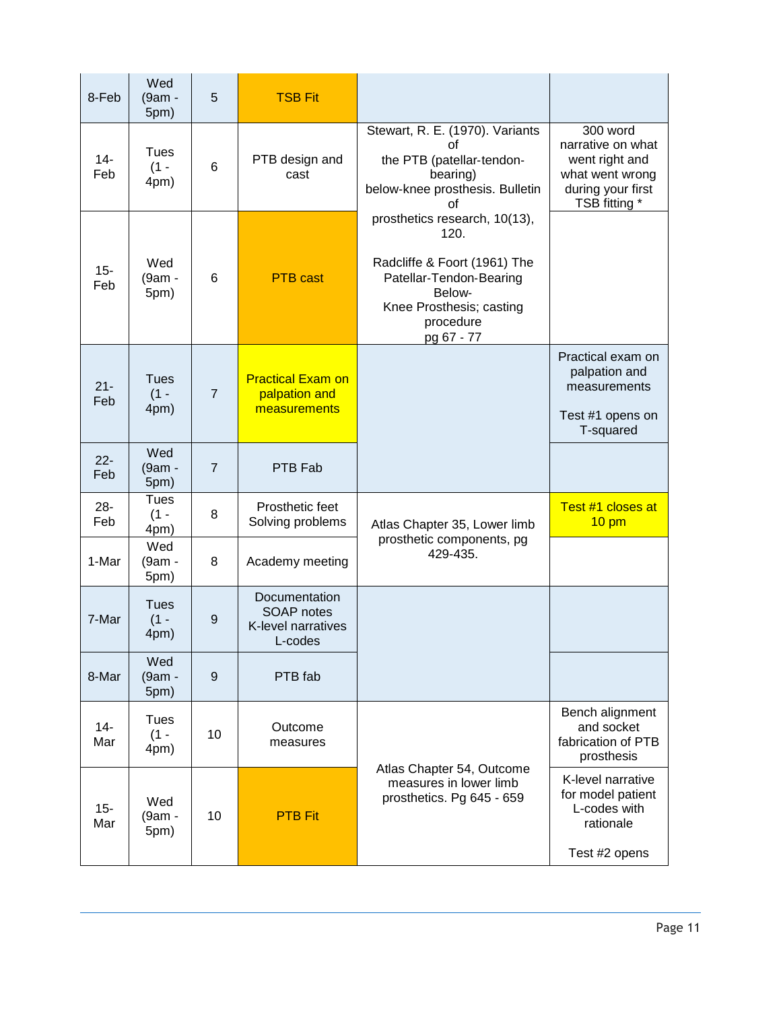| 8-Feb         | Wed<br>(9am -<br>5pm)         | 5               | <b>TSB Fit</b>                                                      |                                                                                                                                                                   |                                                                                                          |
|---------------|-------------------------------|-----------------|---------------------------------------------------------------------|-------------------------------------------------------------------------------------------------------------------------------------------------------------------|----------------------------------------------------------------------------------------------------------|
| $14 -$<br>Feb | <b>Tues</b><br>$(1 -$<br>4pm) | $6\phantom{1}6$ | PTB design and<br>cast                                              | Stewart, R. E. (1970). Variants<br>οf<br>the PTB (patellar-tendon-<br>bearing)<br>below-knee prosthesis. Bulletin<br>οf                                           | 300 word<br>narrative on what<br>went right and<br>what went wrong<br>during your first<br>TSB fitting * |
| $15 -$<br>Feb | Wed<br>(9am -<br>5pm)         | 6               | <b>PTB</b> cast                                                     | prosthetics research, 10(13),<br>120.<br>Radcliffe & Foort (1961) The<br>Patellar-Tendon-Bearing<br>Below-<br>Knee Prosthesis; casting<br>procedure<br>pg 67 - 77 |                                                                                                          |
| $21 -$<br>Feb | <b>Tues</b><br>$(1 -$<br>4pm) | $\overline{7}$  | <b>Practical Exam on</b><br>palpation and<br>measurements           |                                                                                                                                                                   | Practical exam on<br>palpation and<br>measurements<br>Test #1 opens on<br>T-squared                      |
| $22 -$<br>Feb | Wed<br>(9am -<br>5pm)         | $\overline{7}$  | PTB Fab                                                             |                                                                                                                                                                   |                                                                                                          |
| $28 -$<br>Feb | Tues<br>$(1 -$<br>4pm)        | 8               | Prosthetic feet<br>Solving problems                                 | Atlas Chapter 35, Lower limb                                                                                                                                      | Test #1 closes at<br>$10 \text{ pm}$                                                                     |
| 1-Mar         | Wed<br>(9am -<br>5pm)         | 8               | Academy meeting                                                     | prosthetic components, pg<br>429-435.                                                                                                                             |                                                                                                          |
| 7-Mar         | <b>Tues</b><br>$(1 -$<br>4pm) | $9\,$           | Documentation<br><b>SOAP</b> notes<br>K-level narratives<br>L-codes |                                                                                                                                                                   |                                                                                                          |
| 8-Mar         | Wed<br>(9am -<br>5pm)         | $9$             | PTB fab                                                             |                                                                                                                                                                   |                                                                                                          |
| $14-$<br>Mar  | <b>Tues</b><br>$(1 -$<br>4pm) | 10              | Outcome<br>measures                                                 |                                                                                                                                                                   | Bench alignment<br>and socket<br>fabrication of PTB<br>prosthesis                                        |
| $15 -$<br>Mar | Wed<br>(9am -<br>5pm)         | 10              | <b>PTB Fit</b>                                                      | Atlas Chapter 54, Outcome<br>measures in lower limb<br>prosthetics. Pg 645 - 659                                                                                  | K-level narrative<br>for model patient<br>L-codes with<br>rationale<br>Test #2 opens                     |